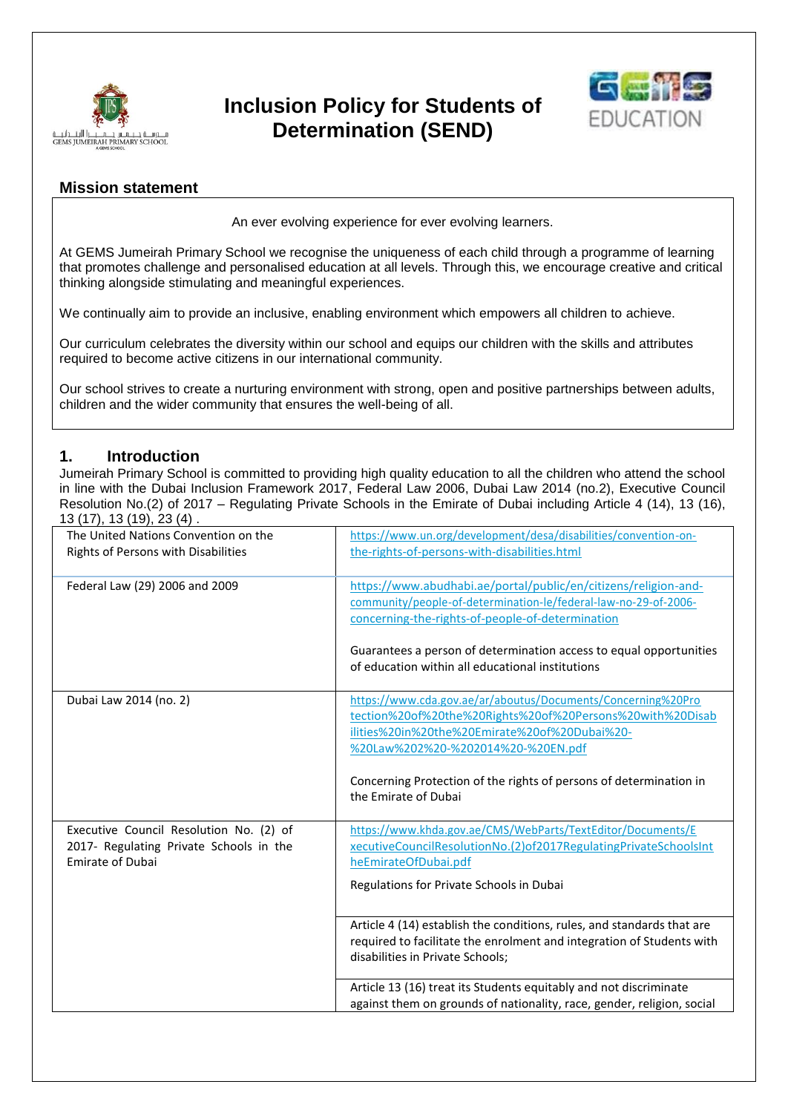

# **Inclusion Policy for Students of Determination (SEND)**



# **Mission statement**

An ever evolving experience for ever evolving learners.

At GEMS Jumeirah Primary School we recognise the uniqueness of each child through a programme of learning that promotes challenge and personalised education at all levels. Through this, we encourage creative and critical thinking alongside stimulating and meaningful experiences.

We continually aim to provide an inclusive, enabling environment which empowers all children to achieve.

Our curriculum celebrates the diversity within our school and equips our children with the skills and attributes required to become active citizens in our international community.

Our school strives to create a nurturing environment with strong, open and positive partnerships between adults, children and the wider community that ensures the well-being of all.

# **1. Introduction**

Jumeirah Primary School is committed to providing high quality education to all the children who attend the school in line with the Dubai Inclusion Framework 2017, Federal Law 2006, Dubai Law 2014 (no.2), Executive Council Resolution No.(2) of 2017 – Regulating Private Schools in the Emirate of Dubai including Article 4 (14), 13 (16), 13 (17), 13 (19), 23 (4) .

| The United Nations Convention on the<br>Rights of Persons with Disabilities                                   | https://www.un.org/development/desa/disabilities/convention-on-<br>the-rights-of-persons-with-disabilities.html                                                                                                                                                                                                |
|---------------------------------------------------------------------------------------------------------------|----------------------------------------------------------------------------------------------------------------------------------------------------------------------------------------------------------------------------------------------------------------------------------------------------------------|
| Federal Law (29) 2006 and 2009                                                                                | https://www.abudhabi.ae/portal/public/en/citizens/religion-and-<br>community/people-of-determination-le/federal-law-no-29-of-2006-<br>concerning-the-rights-of-people-of-determination                                                                                                                         |
|                                                                                                               | Guarantees a person of determination access to equal opportunities<br>of education within all educational institutions                                                                                                                                                                                         |
| Dubai Law 2014 (no. 2)                                                                                        | https://www.cda.gov.ae/ar/aboutus/Documents/Concerning%20Pro<br>tection%20of%20the%20Rights%20of%20Persons%20with%20Disab<br>ilities%20in%20the%20Emirate%20of%20Dubai%20-<br>%20Law%202%20-%202014%20-%20EN.pdf<br>Concerning Protection of the rights of persons of determination in<br>the Emirate of Dubai |
| Executive Council Resolution No. (2) of<br>2017- Regulating Private Schools in the<br><b>Emirate of Dubai</b> | https://www.khda.gov.ae/CMS/WebParts/TextEditor/Documents/E<br>xecutiveCouncilResolutionNo.(2)of2017RegulatingPrivateSchoolsInt<br>heEmirateOfDubai.pdf<br>Regulations for Private Schools in Dubai                                                                                                            |
|                                                                                                               | Article 4 (14) establish the conditions, rules, and standards that are<br>required to facilitate the enrolment and integration of Students with<br>disabilities in Private Schools;                                                                                                                            |
|                                                                                                               | Article 13 (16) treat its Students equitably and not discriminate<br>against them on grounds of nationality, race, gender, religion, social                                                                                                                                                                    |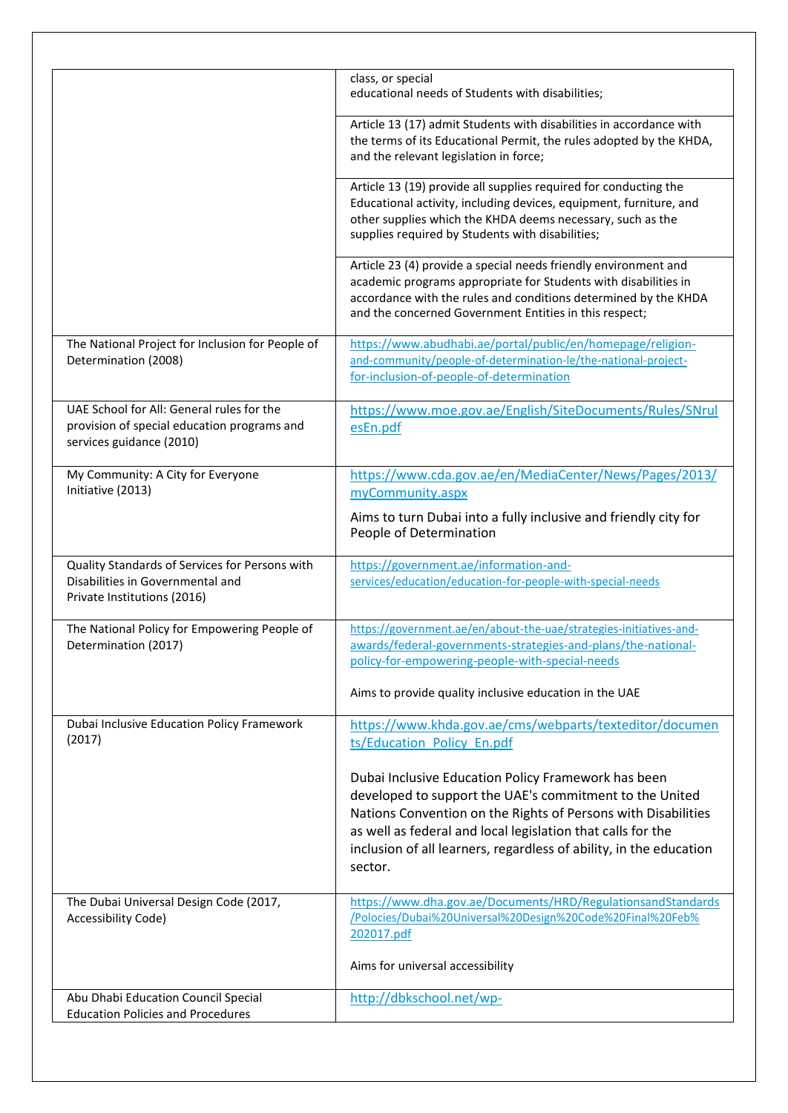|                                                                                                                      | class, or special<br>educational needs of Students with disabilities;                                                                                                                                                                                                                                                           |
|----------------------------------------------------------------------------------------------------------------------|---------------------------------------------------------------------------------------------------------------------------------------------------------------------------------------------------------------------------------------------------------------------------------------------------------------------------------|
|                                                                                                                      | Article 13 (17) admit Students with disabilities in accordance with<br>the terms of its Educational Permit, the rules adopted by the KHDA,<br>and the relevant legislation in force;                                                                                                                                            |
|                                                                                                                      | Article 13 (19) provide all supplies required for conducting the<br>Educational activity, including devices, equipment, furniture, and<br>other supplies which the KHDA deems necessary, such as the<br>supplies required by Students with disabilities;                                                                        |
|                                                                                                                      | Article 23 (4) provide a special needs friendly environment and<br>academic programs appropriate for Students with disabilities in<br>accordance with the rules and conditions determined by the KHDA<br>and the concerned Government Entities in this respect;                                                                 |
| The National Project for Inclusion for People of<br>Determination (2008)                                             | https://www.abudhabi.ae/portal/public/en/homepage/religion-<br>and-community/people-of-determination-le/the-national-project-<br>for-inclusion-of-people-of-determination                                                                                                                                                       |
| UAE School for All: General rules for the<br>provision of special education programs and<br>services guidance (2010) | https://www.moe.gov.ae/English/SiteDocuments/Rules/SNrul<br>esEn.pdf                                                                                                                                                                                                                                                            |
| My Community: A City for Everyone<br>Initiative (2013)                                                               | https://www.cda.gov.ae/en/MediaCenter/News/Pages/2013/<br>myCommunity.aspx                                                                                                                                                                                                                                                      |
|                                                                                                                      | Aims to turn Dubai into a fully inclusive and friendly city for<br>People of Determination                                                                                                                                                                                                                                      |
| Quality Standards of Services for Persons with<br>Disabilities in Governmental and<br>Private Institutions (2016)    | https://government.ae/information-and-<br>services/education/education-for-people-with-special-needs                                                                                                                                                                                                                            |
| The National Policy for Empowering People of<br>Determination (2017)                                                 | https://government.ae/en/about-the-uae/strategies-initiatives-and-<br>awards/federal-governments-strategies-and-plans/the-pational-<br>policy-for-empowering-people-with-special-needs                                                                                                                                          |
|                                                                                                                      | Aims to provide quality inclusive education in the UAE                                                                                                                                                                                                                                                                          |
| Dubai Inclusive Education Policy Framework<br>(2017)                                                                 | https://www.khda.gov.ae/cms/webparts/texteditor/documen<br>ts/Education_Policy_En.pdf                                                                                                                                                                                                                                           |
|                                                                                                                      | Dubai Inclusive Education Policy Framework has been<br>developed to support the UAE's commitment to the United<br>Nations Convention on the Rights of Persons with Disabilities<br>as well as federal and local legislation that calls for the<br>inclusion of all learners, regardless of ability, in the education<br>sector. |
| The Dubai Universal Design Code (2017,<br>Accessibility Code)                                                        | https://www.dha.gov.ae/Documents/HRD/RegulationsandStandards<br>/Polocies/Dubai%20Universal%20Design%20Code%20Final%20Feb%<br>202017.pdf                                                                                                                                                                                        |
|                                                                                                                      | Aims for universal accessibility                                                                                                                                                                                                                                                                                                |
| Abu Dhabi Education Council Special<br><b>Education Policies and Procedures</b>                                      | http://dbkschool.net/wp-                                                                                                                                                                                                                                                                                                        |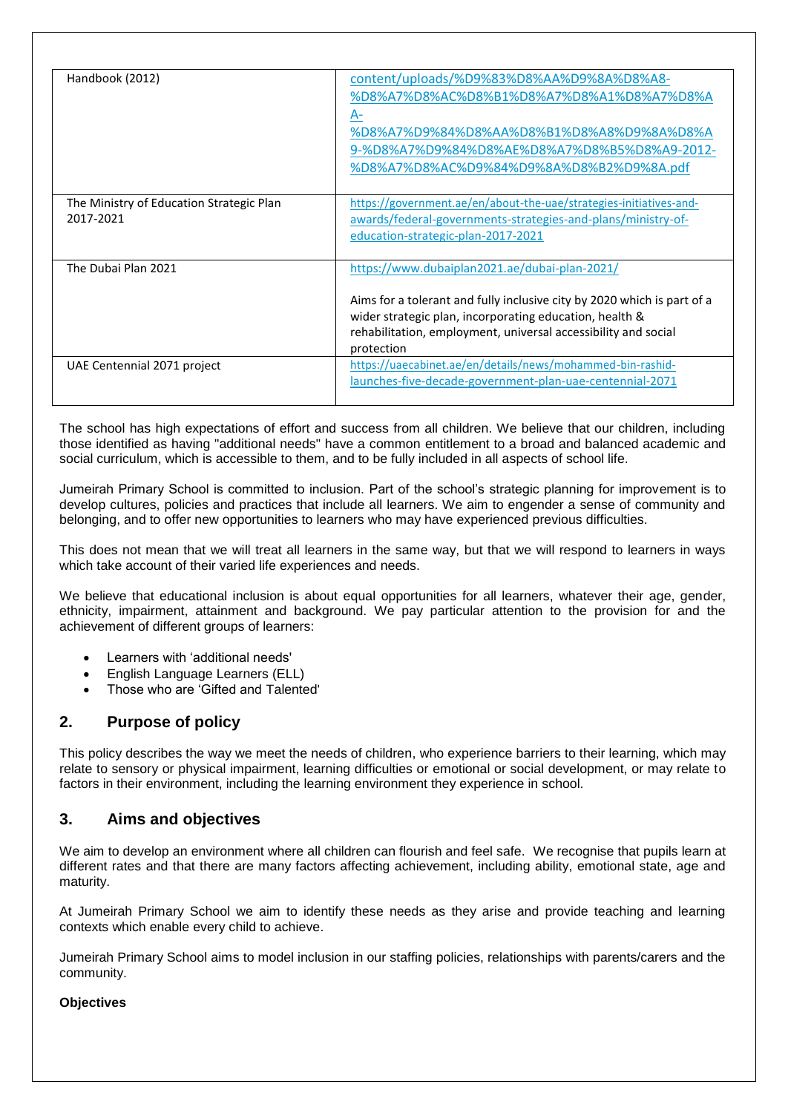| Handbook (2012)                                       | content/uploads/%D9%83%D8%AA%D9%8A%D8%A8-<br>%D8%A7%D8%AC%D8%B1%D8%A7%D8%A1%D8%A7%D8%A<br>A-<br>%D8%A7%D9%84%D8%AA%D8%B1%D8%A8%D9%8A%D8%A<br>9-%D8%A7%D9%84%D8%AE%D8%A7%D8%B5%D8%A9-2012-<br>%D8%A7%D8%AC%D9%84%D9%8A%D8%B2%D9%8A.pdf                               |
|-------------------------------------------------------|---------------------------------------------------------------------------------------------------------------------------------------------------------------------------------------------------------------------------------------------------------------------|
| The Ministry of Education Strategic Plan<br>2017-2021 | https://government.ae/en/about-the-uae/strategies-initiatives-and-<br>awards/federal-governments-strategies-and-plans/ministry-of-<br>education-strategic-plan-2017-2021                                                                                            |
| The Dubai Plan 2021                                   | https://www.dubaiplan2021.ae/dubai-plan-2021/<br>Aims for a tolerant and fully inclusive city by 2020 which is part of a<br>wider strategic plan, incorporating education, health &<br>rehabilitation, employment, universal accessibility and social<br>protection |
| UAE Centennial 2071 project                           | https://uaecabinet.ae/en/details/news/mohammed-bin-rashid-<br>launches-five-decade-government-plan-uae-centennial-2071                                                                                                                                              |

The school has high expectations of effort and success from all children. We believe that our children, including those identified as having "additional needs" have a common entitlement to a broad and balanced academic and social curriculum, which is accessible to them, and to be fully included in all aspects of school life.

Jumeirah Primary School is committed to inclusion. Part of the school's strategic planning for improvement is to develop cultures, policies and practices that include all learners. We aim to engender a sense of community and belonging, and to offer new opportunities to learners who may have experienced previous difficulties.

This does not mean that we will treat all learners in the same way, but that we will respond to learners in ways which take account of their varied life experiences and needs.

We believe that educational inclusion is about equal opportunities for all learners, whatever their age, gender, ethnicity, impairment, attainment and background. We pay particular attention to the provision for and the achievement of different groups of learners:

- Learners with 'additional needs'
- English Language Learners (ELL)
- Those who are 'Gifted and Talented'

# **2. Purpose of policy**

This policy describes the way we meet the needs of children, who experience barriers to their learning, which may relate to sensory or physical impairment, learning difficulties or emotional or social development, or may relate to factors in their environment, including the learning environment they experience in school.

# **3. Aims and objectives**

We aim to develop an environment where all children can flourish and feel safe. We recognise that pupils learn at different rates and that there are many factors affecting achievement, including ability, emotional state, age and maturity.

At Jumeirah Primary School we aim to identify these needs as they arise and provide teaching and learning contexts which enable every child to achieve.

Jumeirah Primary School aims to model inclusion in our staffing policies, relationships with parents/carers and the community.

#### **Objectives**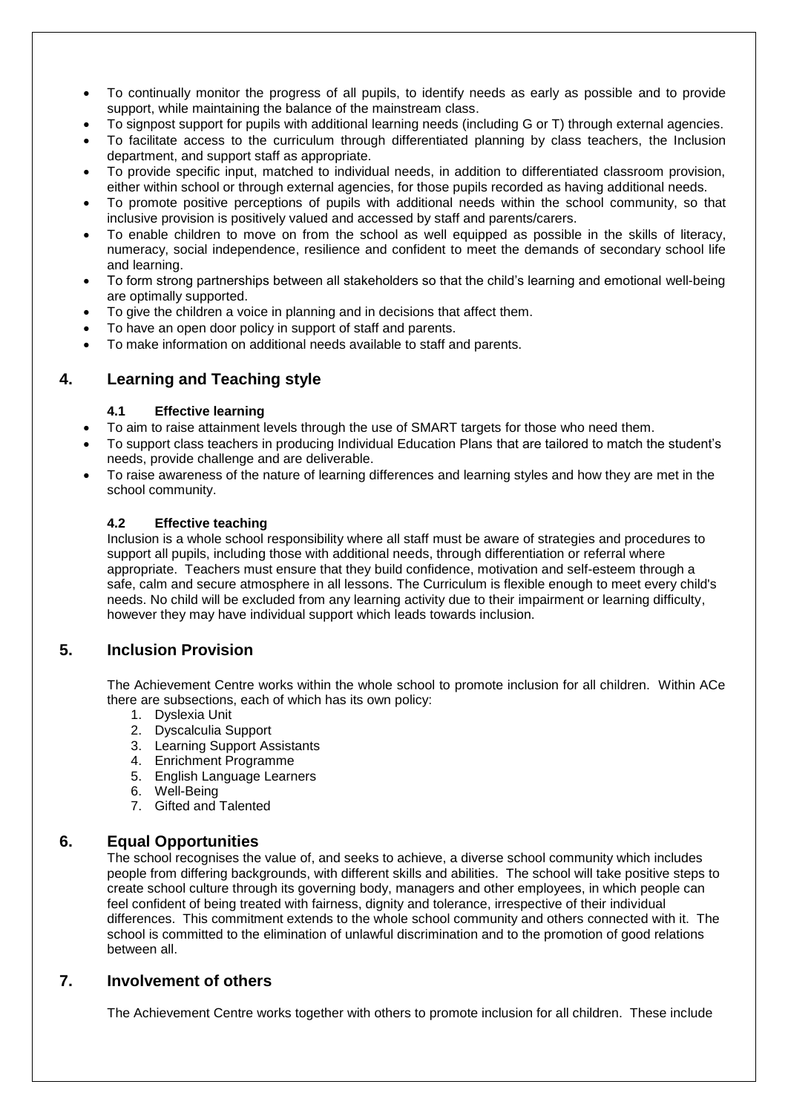- To continually monitor the progress of all pupils, to identify needs as early as possible and to provide support, while maintaining the balance of the mainstream class.
- To signpost support for pupils with additional learning needs (including G or T) through external agencies.
- To facilitate access to the curriculum through differentiated planning by class teachers, the Inclusion department, and support staff as appropriate.
- To provide specific input, matched to individual needs, in addition to differentiated classroom provision, either within school or through external agencies, for those pupils recorded as having additional needs.
- To promote positive perceptions of pupils with additional needs within the school community, so that inclusive provision is positively valued and accessed by staff and parents/carers.
- To enable children to move on from the school as well equipped as possible in the skills of literacy, numeracy, social independence, resilience and confident to meet the demands of secondary school life and learning.
- To form strong partnerships between all stakeholders so that the child's learning and emotional well-being are optimally supported.
- To give the children a voice in planning and in decisions that affect them.
- To have an open door policy in support of staff and parents.
- To make information on additional needs available to staff and parents.

# **4. Learning and Teaching style**

#### **4.1 Effective learning**

- To aim to raise attainment levels through the use of SMART targets for those who need them.
- To support class teachers in producing Individual Education Plans that are tailored to match the student's needs, provide challenge and are deliverable.
- To raise awareness of the nature of learning differences and learning styles and how they are met in the school community.

#### **4.2 Effective teaching**

Inclusion is a whole school responsibility where all staff must be aware of strategies and procedures to support all pupils, including those with additional needs, through differentiation or referral where appropriate. Teachers must ensure that they build confidence, motivation and self-esteem through a safe, calm and secure atmosphere in all lessons. The Curriculum is flexible enough to meet every child's needs. No child will be excluded from any learning activity due to their impairment or learning difficulty, however they may have individual support which leads towards inclusion.

## **5. Inclusion Provision**

The Achievement Centre works within the whole school to promote inclusion for all children. Within ACe there are subsections, each of which has its own policy:

- 1. Dyslexia Unit
- 2. Dyscalculia Support
- 3. Learning Support Assistants
- 4. Enrichment Programme
- 5. English Language Learners
- 6. Well-Being
- 7. Gifted and Talented

## **6. Equal Opportunities**

The school recognises the value of, and seeks to achieve, a diverse school community which includes people from differing backgrounds, with different skills and abilities. The school will take positive steps to create school culture through its governing body, managers and other employees, in which people can feel confident of being treated with fairness, dignity and tolerance, irrespective of their individual differences. This commitment extends to the whole school community and others connected with it. The school is committed to the elimination of unlawful discrimination and to the promotion of good relations between all.

#### **7. Involvement of others**

The Achievement Centre works together with others to promote inclusion for all children. These include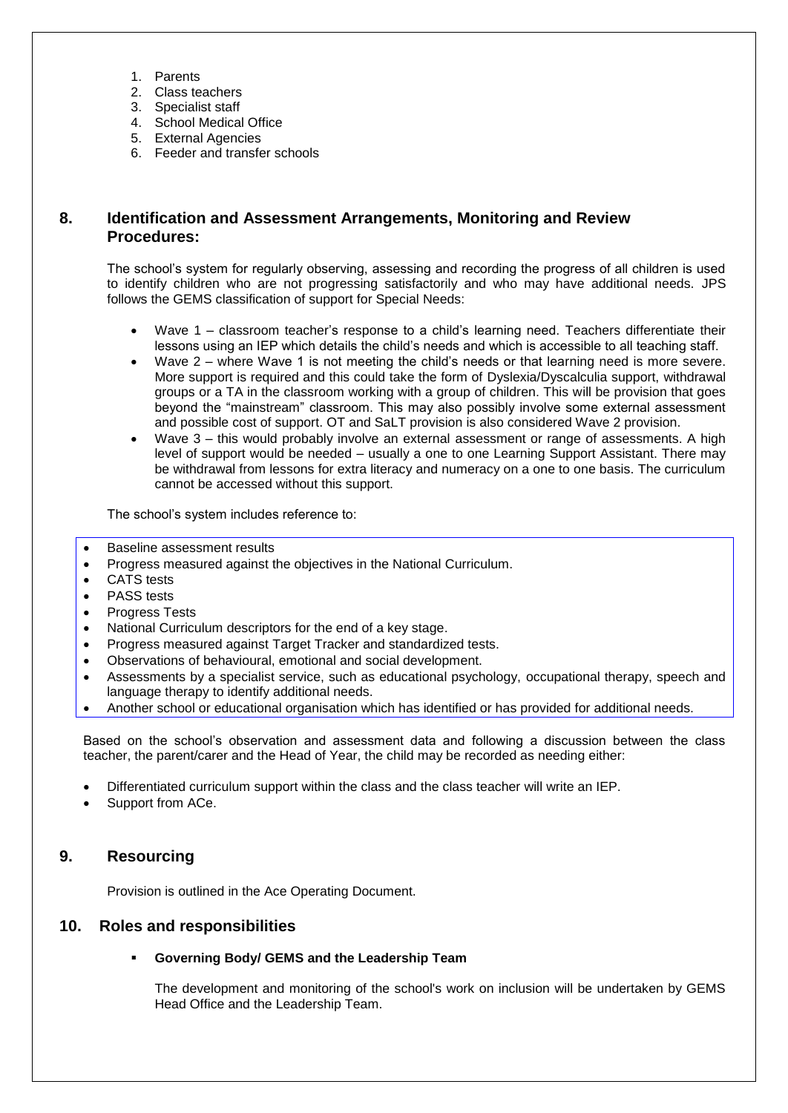- 1. Parents
- 2. Class teachers
- 3. Specialist staff
- 4. School Medical Office
- 5. External Agencies
- 6. Feeder and transfer schools

# **8. Identification and Assessment Arrangements, Monitoring and Review Procedures:**

The school's system for regularly observing, assessing and recording the progress of all children is used to identify children who are not progressing satisfactorily and who may have additional needs. JPS follows the GEMS classification of support for Special Needs:

- Wave 1 classroom teacher's response to a child's learning need. Teachers differentiate their lessons using an IEP which details the child's needs and which is accessible to all teaching staff.
- Wave 2 where Wave 1 is not meeting the child's needs or that learning need is more severe. More support is required and this could take the form of Dyslexia/Dyscalculia support, withdrawal groups or a TA in the classroom working with a group of children. This will be provision that goes beyond the "mainstream" classroom. This may also possibly involve some external assessment and possible cost of support. OT and SaLT provision is also considered Wave 2 provision.
- Wave 3 this would probably involve an external assessment or range of assessments. A high level of support would be needed – usually a one to one Learning Support Assistant. There may be withdrawal from lessons for extra literacy and numeracy on a one to one basis. The curriculum cannot be accessed without this support.

The school's system includes reference to:

- Baseline assessment results
- Progress measured against the objectives in the National Curriculum.
- CATS tests
- PASS tests
- Progress Tests
- National Curriculum descriptors for the end of a key stage.
- Progress measured against Target Tracker and standardized tests.
- Observations of behavioural, emotional and social development.
- Assessments by a specialist service, such as educational psychology, occupational therapy, speech and language therapy to identify additional needs.
- Another school or educational organisation which has identified or has provided for additional needs.

Based on the school's observation and assessment data and following a discussion between the class teacher, the parent/carer and the Head of Year, the child may be recorded as needing either:

- Differentiated curriculum support within the class and the class teacher will write an IEP.
- Support from ACe.

# **9. Resourcing**

Provision is outlined in the Ace Operating Document.

## **10. Roles and responsibilities**

#### **Governing Body/ GEMS and the Leadership Team**

The development and monitoring of the school's work on inclusion will be undertaken by GEMS Head Office and the Leadership Team.